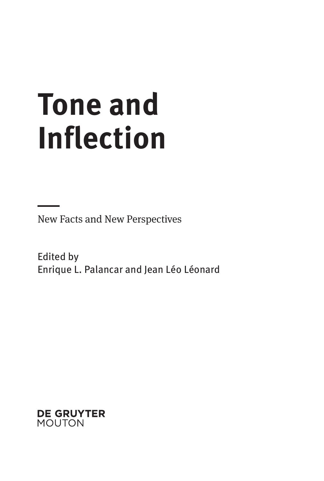# **Tone and Inflection**

New Facts and New Perspectives

Edited by Enrique L. Palancar and Jean Léo Léonard

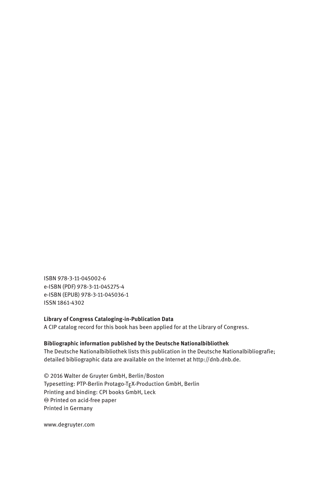ISBN 978-3-11-045002-6 e-ISBN (PDF) 978-3-11-045275-4 e-ISBN (EPUB) 978-3-11-045036-1 ISSN 1861-4302

#### **Library of Congress Cataloging-in-Publication Data**

A CIP catalog record for this book has been applied for at the Library of Congress.

#### **Bibliographic information published by the Deutsche Nationalbibliothek**

The Deutsche Nationalbibliothek lists this publication in the Deutsche Nationalbibliografie; detailed bibliographic data are available on the Internet at http://dnb.dnb.de.

© 2016 Walter de Gruyter GmbH, Berlin/Boston Typesetting: PTP-Berlin Protago-TEX-Production GmbH, Berlin Printing and binding: CPI books GmbH, Leck ♾ Printed on acid-free paper Printed in Germany

www.degruyter.com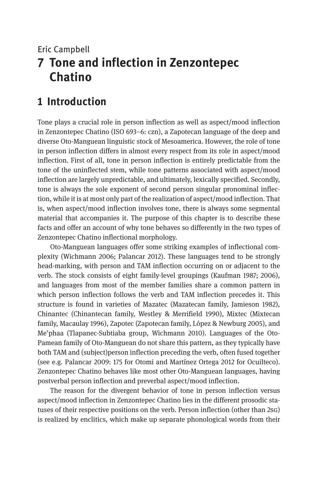# Eric Campbell **7 Tone and inflection in Zenzontepec Chatino**

# **1 Introduction**

Tone plays a crucial role in person inflection as well as aspect/mood inflection in Zenzontepec Chatino (ISO 693–6: czn), a Zapotecan language of the deep and diverse Oto-Manguean linguistic stock of Mesoamerica. However, the role of tone in person inflection differs in almost every respect from its role in aspect/mood inflection. First of all, tone in person inflection is entirely predictable from the tone of the uninflected stem, while tone patterns associated with aspect/mood inflection are largely unpredictable, and ultimately, lexically specified. Secondly, tone is always the sole exponent of second person singular pronominal inflection, while it is at most only part of the realization of aspect/mood inflection. That is, when aspect/mood inflection involves tone, there is always some segmental material that accompanies it. The purpose of this chapter is to describe these facts and offer an account of why tone behaves so differently in the two types of Zenzontepec Chatino inflectional morphology.

Oto-Manguean languages offer some striking examples of inflectional complexity (Wichmann 2006; Palancar 2012). These languages tend to be strongly head-marking, with person and TAM inflection occurring on or adjacent to the verb. The stock consists of eight family-level groupings (Kaufman 1987; 2006), and languages from most of the member families share a common pattern in which person inflection follows the verb and TAM inflection precedes it. This structure is found in varieties of Mazatec (Mazatecan family, Jamieson 1982), Chinantec (Chinantecan family, Westley & Merrifield 1990), Mixtec (Mixtecan family, Macaulay 1996), Zapotec (Zapotecan family, López & Newburg 2005), and Me'phaa (Tlapanec-Subtiaba group, Wichmann 2010). Languages of the Oto-Pamean family of Oto-Manguean do not share this pattern, as they typically have both TAM and (subject)person inflection preceding the verb, often fused together (see e.g. Palancar 2009: 175 for Otomi and Martínez Ortega 2012 for Ocuilteco). Zenzontepec Chatino behaves like most other Oto-Manguean languages, having postverbal person inflection and preverbal aspect/mood inflection.

The reason for the divergent behavior of tone in person inflection versus aspect/mood inflection in Zenzontepec Chatino lies in the different prosodic statuses of their respective positions on the verb. Person inflection (other than 2sg) is realized by enclitics, which make up separate phonological words from their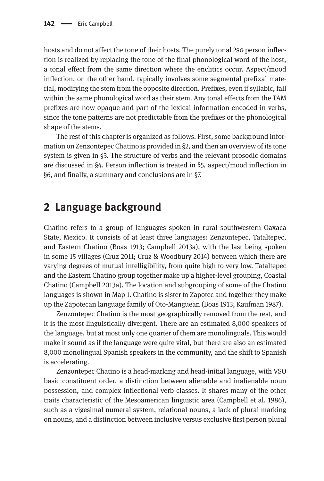hosts and do not affect the tone of their hosts. The purely tonal 2sq person inflection is realized by replacing the tone of the final phonological word of the host, a tonal effect from the same direction where the enclitics occur. Aspect/mood inflection, on the other hand, typically involves some segmental prefixal material, modifying the stem from the opposite direction. Prefixes, even if syllabic, fall within the same phonological word as their stem. Any tonal effects from the TAM prefixes are now opaque and part of the lexical information encoded in verbs, since the tone patterns are not predictable from the prefixes or the phonological shape of the stems.

The rest of this chapter is organized as follows. First, some background information on Zenzontepec Chatino is provided in §2, and then an overview of its tone system is given in §3. The structure of verbs and the relevant prosodic domains are discussed in §4. Person inflection is treated in §5, aspect/mood inflection in §6, and finally, a summary and conclusions are in §7.

## **2 Language background**

Chatino refers to a group of languages spoken in rural southwestern Oaxaca State, Mexico. It consists of at least three languages: Zenzontepec, Tataltepec, and Eastern Chatino (Boas 1913; Campbell 2013a), with the last being spoken in some 15 villages (Cruz 2011; Cruz & Woodbury 2014) between which there are varying degrees of mutual intelligibility, from quite high to very low. Tataltepec and the Eastern Chatino group together make up a higher-level grouping, Coastal Chatino (Campbell 2013a). The location and subgrouping of some of the Chatino languages is shown in Map 1. Chatino is sister to Zapotec and together they make up the Zapotecan language family of Oto-Manguean (Boas 1913; Kaufman 1987).

Zenzontepec Chatino is the most geographically removed from the rest, and it is the most linguistically divergent. There are an estimated 8,000 speakers of the language, but at most only one quarter of them are monolinguals. This would make it sound as if the language were quite vital, but there are also an estimated 8,000 monolingual Spanish speakers in the community, and the shift to Spanish is accelerating.

Zenzontepec Chatino is a head-marking and head-initial language, with VSO basic constituent order, a distinction between alienable and inalienable noun possession, and complex inflectional verb classes. It shares many of the other traits characteristic of the Mesoamerican linguistic area (Campbell et al. 1986), such as a vigesimal numeral system, relational nouns, a lack of plural marking on nouns, and a distinction between inclusive versus exclusive first person plural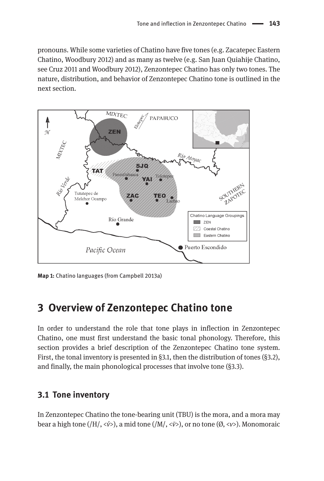pronouns. While some varieties of Chatino have five tones (e.g. Zacatepec Eastern Chatino, Woodbury 2012) and as many as twelve (e.g. San Juan Quiahije Chatino, see Cruz 2011 and Woodbury 2012), Zenzontepec Chatino has only two tones. The nature, distribution, and behavior of Zenzontepec Chatino tone is outlined in the next section.



**Map 1:** Chatino languages (from Campbell 2013a)

# **3 Overview of Zenzontepec Chatino tone**

In order to understand the role that tone plays in inflection in Zenzontepec Chatino, one must first understand the basic tonal phonology. Therefore, this section provides a brief description of the Zenzontepec Chatino tone system. First, the tonal inventory is presented in §3.1, then the distribution of tones (§3.2), and finally, the main phonological processes that involve tone (§3.3).

#### **3.1 Tone inventory**

In Zenzontepec Chatino the tone-bearing unit (TBU) is the mora, and a mora may bear a high tone (/H/, <*v́*>), a mid tone (/M/, <*v̄*>), or no tone (Ø, <*v*>). Monomoraic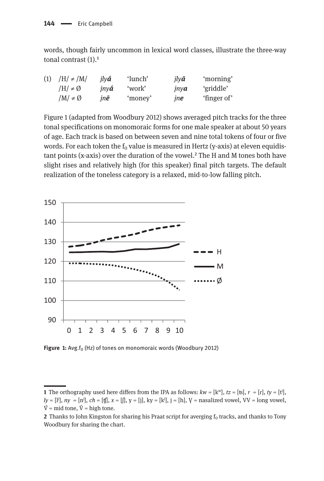words, though fairly uncommon in lexical word classes, illustrate the three-way tonal contrast  $(1).<sup>1</sup>$ 

| $/H/ \neq /M/$      | ilvá         | 'lunch' | $il\mathsf{v}\bar{\mathsf{a}}$ | 'morning'   |
|---------------------|--------------|---------|--------------------------------|-------------|
| $/H/\neq \emptyset$ | $inv\hat{a}$ | 'work'  | $inv\mathbf{a}$                | 'griddle'   |
| $/M/\neq \emptyset$ | inē          | 'money' | ine                            | 'finger of' |
|                     |              |         |                                |             |

Figure 1 (adapted from Woodbury 2012) shows averaged pitch tracks for the three tonal specifications on monomoraic forms for one male speaker at about 50 years of age. Each track is based on between seven and nine total tokens of four or five words. For each token the  $f_0$  value is measured in Hertz (y-axis) at eleven equidistant points (x-axis) over the duration of the vowel.<sup>2</sup> The H and M tones both have slight rises and relatively high (for this speaker) final pitch targets. The default realization of the toneless category is a relaxed, mid-to-low falling pitch.



Figure 1: Avg.f<sub>0</sub> (Hz) of tones on monomoraic words (Woodbury 2012)

**<sup>1</sup>** The orthography used here differs from the IPA as follows:  $kw = [k^w]$ ,  $tz = [ts]$ ,  $r = [r]$ ,  $ty = [t^i]$ , *ly* =  $[i^j]$ , *ny* =  $[n^j]$ , *ch* =  $[f]$ , *x* =  $[j]$ , *y* =  $[j]$ , *ky* =  $[k^j]$ , *j* =  $[h]$ , *Y* = nasalized vowel, *VV* = long vowel,  $\overline{V}$  = mid tone,  $\overline{V}$  = high tone.

**<sup>2</sup>** Thanks to John Kingston for sharing his Praat script for averging  $f_0$  tracks, and thanks to Tony Woodbury for sharing the chart.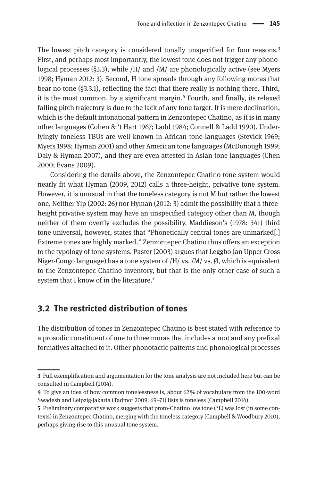The lowest pitch category is considered tonally unspecified for four reasons.<sup>3</sup> First, and perhaps most importantly, the lowest tone does not trigger any phonological processes (§3.3), while /H/ and /M/ are phonologically active (see Myers 1998; Hyman 2012: 3). Second, H tone spreads through any following moras that bear no tone (§3.3.1), reflecting the fact that there really is nothing there. Third, it is the most common, by a significant margin.<sup>4</sup> Fourth, and finally, its relaxed falling pitch trajectory is due to the lack of any tone target. It is mere declination, which is the default intonational pattern in Zenzontepec Chatino, as it is in many other languages (Cohen & 't Hart 1967; Ladd 1984; Connell & Ladd 1990). Underlyingly toneless TBUs are well known in African tone languages (Stevick 1969; Myers 1998; Hyman 2001) and other American tone languages (McDonough 1999; Daly & Hyman 2007), and they are even attested in Asian tone languages (Chen 2000; Evans 2009).

Considering the details above, the Zenzontepec Chatino tone system would nearly fit what Hyman (2009, 2012) calls a three-height, privative tone system. However, it is unusual in that the toneless category is not M but rather the lowest one. Neither Yip (2002: 26) nor Hyman (2012: 3) admit the possibility that a threeheight privative system may have an unspecified category other than M, though neither of them overtly excludes the possibility. Maddieson's (1978: 341) third tone universal, however, states that "Phonetically central tones are unmarked[.] Extreme tones are highly marked." Zenzontepec Chatino thus offers an exception to the typology of tone systems. Paster (2003) argues that Leggbo (an Upper Cross Niger-Congo language) has a tone system of  $/H/vs$ .  $/M/vs$ .  $\varnothing$ , which is equivalent to the Zenzontepec Chatino inventory, but that is the only other case of such a system that I know of in the literature.<sup>5</sup>

#### **3.2 The restricted distribution of tones**

The distribution of tones in Zenzontepec Chatino is best stated with reference to a prosodic constituent of one to three moras that includes a root and any prefixal formatives attached to it. Other phonotactic patterns and phonological processes

**<sup>3</sup>** Full exemplification and argumentation for the tone analysis are not included here but can be consulted in Campbell (2014).

**<sup>4</sup>** To give an idea of how common tonelessness is, about 62 % of vocabulary from the 100-word Swadesh and Leipzig-Jakarta (Tadmor 2009: 69–71) lists is toneless (Campbell 2014).

**<sup>5</sup>** Preliminary comparative work suggests that proto-Chatino low tone (\*L) was lost (in some contexts) in Zenzontepec Chatino, merging with the toneless category (Campbell & Woodbury 2010), perhaps giving rise to this unusual tone system.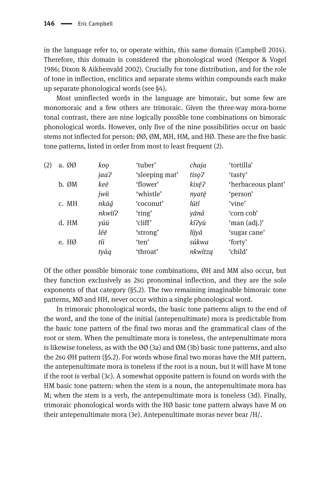in the language refer to, or operate within, this same domain (Campbell 2014). Therefore, this domain is considered the phonological word (Nespor & Vogel 1986; Dixon & Aikhenvald 2002). Crucially for tone distribution, and for the role of tone in inflection, enclitics and separate stems within compounds each make up separate phonological words (see §4).

Most uninflected words in the language are bimoraic, but some few are monomoraic and a few others are trimoraic. Given the three-way mora-borne tonal contrast, there are nine logically possible tone combinations on bimoraic phonological words. However, only five of the nine possibilities occur on basic stems not inflected for person: ØØ, ØM, MH, HM, and HØ. These are the five basic tone patterns, listed in order from most to least frequent (2).

| (2) | a. ØØ | koo    | 'tuber'        | chaja   | 'tortilla'         |
|-----|-------|--------|----------------|---------|--------------------|
|     |       | jaa?   | 'sleeping mat' | tiso?   | 'tasty'            |
|     | b. ØM | keē    | 'flower'       | kixē?   | 'herbaceous plant' |
|     |       | jwiī   | 'whistle'      | nyatē   | 'person'           |
|     | c. MH | nkāá   | 'coconut'      | lūtí    | 'vine'             |
|     |       | nkwīí? | 'ring'         | yāná    | 'corn cob'         |
|     | d. HM | yúū    | 'cliff'        | kí?yū   | 'man (adj.)'       |
|     |       | léē    | 'strong'       | líjyā   | 'sugar cane'       |
|     | e. HØ | tíi    | 'ten'          | súkwa   | 'forty'            |
|     |       | tyág   | 'throat'       | nkwítza | 'child'            |

Of the other possible bimoraic tone combinations, ØH and MM also occur, but they function exclusively as 2sg pronominal inflection, and they are the sole exponents of that category (§5.2). The two remaining imaginable bimoraic tone patterns, MØ and HH, never occur within a single phonological word.

In trimoraic phonological words, the basic tone patterns align to the end of the word, and the tone of the initial (antepenultimate) mora is predictable from the basic tone pattern of the final two moras and the grammatical class of the root or stem. When the penultimate mora is toneless, the antepenultimate mora is likewise toneless, as with the  $\emptyset\emptyset$  (3a) and  $\emptyset$ M (3b) basic tone patterns, and also the 2sg ØH pattern (§5.2). For words whose final two moras have the MH pattern, the antepenultimate mora is toneless if the root is a noun, but it will have M tone if the root is verbal (3c). A somewhat opposite pattern is found on words with the HM basic tone pattern: when the stem is a noun, the antepenultimate mora has M; when the stem is a verb, the antepenultimate mora is toneless (3d). Finally, trimoraic phonological words with the HØ basic tone pattern always have M on their antepenultimate mora (3e). Antepenultimate moras never bear /H/.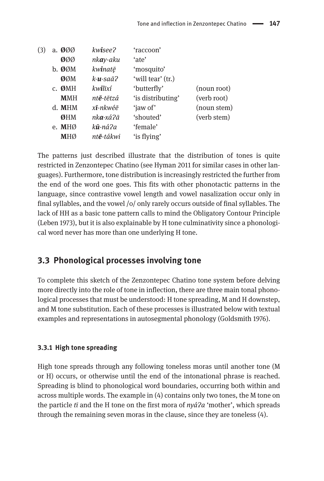| (3) | a. <b>0</b> 00        | kwisee?                 | 'raccoon'         |             |
|-----|-----------------------|-------------------------|-------------------|-------------|
|     | ØØØ                   | nk <b>a</b> y-aku       | 'ate'             |             |
|     | b. ØØM                | kwinatē                 | 'mosquito'        |             |
|     | ØØM                   | $k - u - \frac{s}{a^2}$ | 'will tear' (tr.) |             |
|     | ØMH<br>$\mathsf{C}$ . | kwilīxí                 | 'butterfly'       | (noun root) |
|     | <b>MMH</b>            | nt <b>ē</b> -tētzá      | 'is distributing' | (verb root) |
|     | d. MHM                | x <b>ī</b> -nkwéē       | 'iaw of'          | (noun stem) |
|     | ØHM                   | nka-xá?ā                | 'shouted'         | (verb stem) |
|     | e. MHØ                | k <b>ū</b> -ná?a        | 'female'          |             |
|     | <b>MHØ</b>            | nt <b>ē</b> -tákwi      | 'is flying'       |             |
|     |                       |                         |                   |             |

The patterns just described illustrate that the distribution of tones is quite restricted in Zenzontepec Chatino (see Hyman 2011 for similar cases in other languages). Furthermore, tone distribution is increasingly restricted the further from the end of the word one goes. This fits with other phonotactic patterns in the language, since contrastive vowel length and vowel nasalization occur only in final syllables, and the vowel /o/ only rarely occurs outside of final syllables. The lack of HH as a basic tone pattern calls to mind the Obligatory Contour Principle (Leben 1973), but it is also explainable by H tone culminativity since a phonological word never has more than one underlying H tone.

## **3.3 Phonological processes involving tone**

To complete this sketch of the Zenzontepec Chatino tone system before delving more directly into the role of tone in inflection, there are three main tonal phonological processes that must be understood: H tone spreading, M and H downstep, and M tone substitution. Each of these processes is illustrated below with textual examples and representations in autosegmental phonology (Goldsmith 1976).

#### **3.3.1 High tone spreading**

High tone spreads through any following toneless moras until another tone (M or H) occurs, or otherwise until the end of the intonational phrase is reached. Spreading is blind to phonological word boundaries, occurring both within and across multiple words. The example in (4) contains only two tones, the M tone on the particle *tī* and the H tone on the first mora of *nyáɁa* 'mother', which spreads through the remaining seven moras in the clause, since they are toneless (4).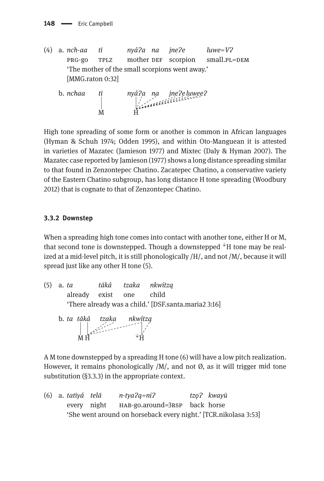- (4) a. *nch-aa tī nyáɁa na jneɁe luwe=VɁ* prg-go tplz mother def scorpion small.pl=dem 'The mother of the small scorpions went away.' [MMG.raton 0:32]
- b. *nchaa tī nyáɁa na jneɁe luweeɁ* M H

High tone spreading of some form or another is common in African languages (Hyman & Schuh 1974; Odden 1995), and within Oto-Manguean it is attested in varieties of Mazatec (Jamieson 1977) and Mixtec (Daly & Hyman 2007). The Mazatec case reported by Jamieson (1977) shows a long distance spreading similar to that found in Zenzontepec Chatino. Zacatepec Chatino, a conservative variety of the Eastern Chatino subgroup, has long distance H tone spreading (Woodbury 2012) that is cognate to that of Zenzontepec Chatino.

#### **3.3.2 Downstep**

When a spreading high tone comes into contact with another tone, either H or M, that second tone is downstepped. Though a downstepped *<sup>↓</sup>*H tone may be realized at a mid-level pitch, it is still phonologically /H/, and not /M/, because it will spread just like any other H tone (5).

- (5) a. *ta tāká tzaka nkwítzą*  already exist one child 'There already was a child.' [DSF.santa.maria2 3:16]
- b. *ta tāká tzaka nkwítzą*   $M H$   $\downarrow$   $\downarrow$   $\downarrow$   $\downarrow$

A M tone downstepped by a spreading H tone (6) will have a low pitch realization. However, it remains phonologically  $/M/$ , and not  $\emptyset$ , as it will trigger mid tone substitution (§3.3.3) in the appropriate context.

(6) a. *tatīyá telā n-tyaɁą =niɁ tzǫ Ɂ kwayū* every night HAB-go.around=3RSP back horse 'She went around on horseback every night.' [TCR.nikolasa 3:53]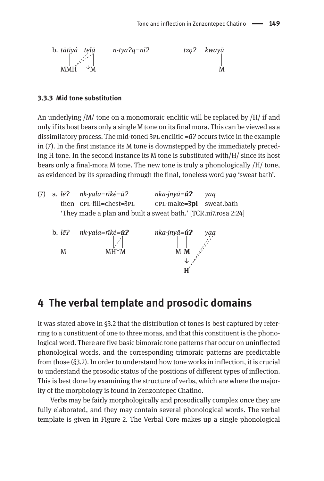

#### **3.3.3 Mid tone substitution**

An underlying  $/M/$  tone on a monomoraic enclitic will be replaced by  $/H/$  if and only if its host bears only a single M tone on its final mora. This can be viewed as a dissimilatory process. The mid-toned 3PL enclitic = $\bar{u}$ ? occurs twice in the example in  $(7)$ . In the first instance its M tone is downstepped by the immediately preceding H tone. In the second instance its M tone is substituted with/H/ since its host bears only a final-mora M tone. The new tone is truly a phonologically /H/ tone, as evidenced by its spreading through the final, toneless word *yaą* 'sweat bath'.

|  | (7) a. $l\bar{e}$ ? nk-yala=rīké= $\bar{u}$ ?                  | nka-jnyā <b>=ú?</b> yag    |  |
|--|----------------------------------------------------------------|----------------------------|--|
|  | then CPL-fill=chest=3PL                                        | $CPL$ -make=3pl sweat.bath |  |
|  | 'They made a plan and built a sweat bath.' [TCR.ni7.rosa 2:24] |                            |  |



## **4 The verbal template and prosodic domains**

It was stated above in  $\S$ 3.2 that the distribution of tones is best captured by referring to a constituent of one to three moras, and that this constituent is the phonological word. There are five basic bimoraic tone patterns that occur on uninflected phonological words, and the corresponding trimoraic patterns are predictable from those (§3.2). In order to understand how tone works in inflection, it is crucial to understand the prosodic status of the positions of different types of inflection. This is best done by examining the structure of verbs, which are where the majority of the morphology is found in Zenzontepec Chatino.

Verbs may be fairly morphologically and prosodically complex once they are fully elaborated, and they may contain several phonological words. The verbal template is given in Figure 2. The Verbal Core makes up a single phonological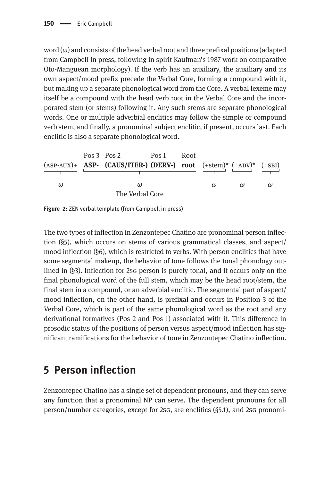word (*ω*) and consists of the head verbal root and three prefixal positions (adapted from Campbell in press, following in spirit Kaufman's 1987 work on comparative Oto-Manguean morphology). If the verb has an auxiliary, the auxiliary and its own aspect/mood prefix precede the Verbal Core, forming a compound with it, but making up a separate phonological word from the Core. A verbal lexeme may itself be a compound with the head verb root in the Verbal Core and the incorporated stem (or stems) following it. Any such stems are separate phonological words. One or multiple adverbial enclitics may follow the simple or compound verb stem, and finally, a pronominal subject enclitic, if present, occurs last. Each enclitic is also a separate phonological word.



**Figure 2:** ZEN verbal template (from Campbell in press)

The two types of inflection in Zenzontepec Chatino are pronominal person inflection (§5), which occurs on stems of various grammatical classes, and aspect/ mood inflection (§6), which is restricted to verbs. With person enclitics that have some segmental makeup, the behavior of tone follows the tonal phonology outlined in (§3). Inflection for 2sg person is purely tonal, and it occurs only on the final phonological word of the full stem, which may be the head root/stem, the final stem in a compound, or an adverbial enclitic. The segmental part of aspect/ mood inflection, on the other hand, is prefixal and occurs in Position 3 of the Verbal Core, which is part of the same phonological word as the root and any derivational formatives (Pos 2 and Pos 1) associated with it. This difference in prosodic status of the positions of person versus aspect/mood inflection has significant ramifications for the behavior of tone in Zenzontepec Chatino inflection.

# **5 Person inflection**

Zenzontepec Chatino has a single set of dependent pronouns, and they can serve any function that a pronominal NP can serve. The dependent pronouns for all person/number categories, except for 2sg, are enclitics (§5.1), and 2sg pronomi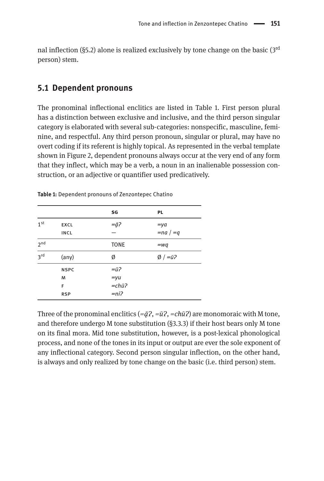nal inflection (§5.2) alone is realized exclusively by tone change on the basic ( $3<sup>rd</sup>$ person) stem.

#### **5.1 De pendent pronouns**

The pronominal inflectional enclitics are listed in Table 1. First person plural has a distinction between exclusive and inclusive, and the third person singular category is elaborated with several sub-categories: nonspecific, masculine, feminine, and respectful. Any third person pronoun, singular or plural, may have no overt coding if its referent is highly topical. As represented in the verbal template shown in Figure 2, dependent pronouns always occur at the very end of any form that they inflect, which may be a verb, a noun in an inalienable possession construction, or an adjective or quantifier used predicatively.

|                 |                | SG                     | <b>PL</b>                  |
|-----------------|----------------|------------------------|----------------------------|
| 1 <sup>st</sup> | <b>EXCL</b>    | $=$ $\bar{a}$ ?        | $=ya$                      |
|                 | <b>INCL</b>    |                        | $=$ na $/ = q$             |
| 2 <sup>nd</sup> |                | <b>TONE</b>            | $=$ wg                     |
| 3rd             | $(\text{any})$ | Ø                      | $\emptyset$ / $=\bar{u}$ ? |
|                 | <b>NSPC</b>    | $=\bar{u}$ ?           |                            |
|                 | M              | $=$ yu                 |                            |
|                 | F              | $=$ chū $\overline{?}$ |                            |
|                 | <b>RSP</b>     | $= ni2$                |                            |

**Table 1:** Dependent pronouns of Zenzontepec Chatino

Three of the pronominal enclitics  $(=\bar{q}$ <sup> $\bar{q}$ </sup>,  $=\bar{u}$ <sup> $\bar{q}$ </sup>,  $=\bar{c}h\bar{u}$ <sup> $\bar{q}$ </sup>) are monomoraic with M tone, and therefore undergo M tone substitution (§3.3.3) if their host bears only M tone on its final mora. Mid tone substitution, however, is a post-lexical phonological process, and none of the tones in its input or output are ever the sole exponent of any inflectional category. Second person singular inflection, on the other hand, is always and only realized by tone change on the basic (i.e. third person) stem.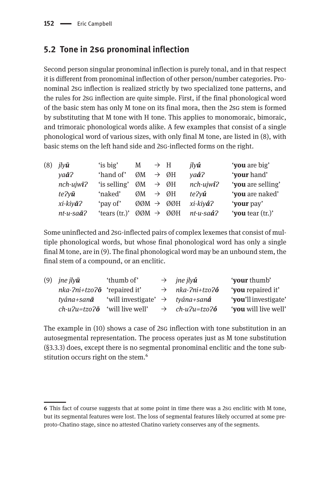## **5.2 Tone in 2sg pronominal inflection**

Second person singular pronominal inflection is purely tonal, and in that respect it is different from pronominal inflection of other person/number categories. Pronominal 2sg inflection is realized strictly by two specialized tone patterns, and the rules for 2sg inflection are quite simple. First, if the final phonological word of the basic stem has only M tone on its final mora, then the 2sg stem is formed by substituting that M tone with H tone. This applies to monomoraic, bimoraic, and trimoraic phonological words alike. A few examples that consist of a single phonological word of various sizes, with only final M tone, are listed in (8), with basic stems on the left hand side and 2sg-inflected forms on the right.

| (8) | $ilv\bar{u}$       | 'is big'      | M                                      | $\rightarrow$ H |     | ilv <b>ú</b>                 | 'you are big'     |
|-----|--------------------|---------------|----------------------------------------|-----------------|-----|------------------------------|-------------------|
|     | $va\bar{a}$ ?      | 'hand of'     | ØM                                     | $\rightarrow$   | ØH  | $vaa$ <sup>2</sup>           | 'your hand'       |
|     | $nch$ -ujw $i$ ?   | 'is selling'  | ØM                                     | $\rightarrow$   | ØН  | $nch$ -ujwi?                 | 'you are selling' |
|     | te?v <b>ū</b>      | 'naked'       | ØM                                     | $\rightarrow$   | ØН  | te?y <b>ú</b>                | 'you are naked'   |
|     | xi-kiy <b>ā</b> ?  | 'pay of'      | ØØM                                    | $\rightarrow$   | ØØH | xi-kiy <b>á</b> ?            | 'your pay'        |
|     | $nt-u-sa\bar{a}$ ? | 'tears (tr.)' | $\varnothing\varnothing M \rightarrow$ |                 | ØØH | $nt$ - $u$ - $sa$ á $\Omega$ | 'you tear (tr.)'  |
|     |                    |               |                                        |                 |     |                              |                   |

Some uninflected and 2sg-inflected pairs of complex lexemes that consist of multiple phonological words, but whose final phonological word has only a single final M tone, are in (9). The final phonological word may be an unbound stem, the final stem of a compound, or an enclitic.

| (9) <i>jne jly<math>\bar{u}</math></i>          | 'thumb of'                                          | $\rightarrow$ ine ilv <b>ú</b>      | 'your thumb'         |
|-------------------------------------------------|-----------------------------------------------------|-------------------------------------|----------------------|
| $nka$ - $2ni$ + $tz$ o $2\bar{o}$ 'repaired it' |                                                     | $\rightarrow$ nka-?ni+tzo? $\delta$ | 'you repaired it'    |
| tvána+san <b>ā</b>                              | 'will investigate' $\rightarrow$ tyána+san <b>á</b> |                                     | 'you'll investigate' |
| $ch-u2u=tzo2\bar{o}$ 'will live well'           |                                                     | $\rightarrow$ ch-u?u=tzo? <b>ó</b>  | 'you will live well' |
|                                                 |                                                     |                                     |                      |

The example in (10) shows a case of 2sg inflection with tone substitution in an autosegmental representation. The process operates just as M tone substitution (§3.3.3) does, except there is no segmental pronominal enclitic and the tone substitution occurs right on the stem.<sup>6</sup>

**<sup>6</sup>** This fact of course suggests that at some point in time there was a 2sg enclitic with M tone, but its segmental features were lost. The loss of segmental features likely occurred at some preproto-Chatino stage, since no attested Chatino variety conserves any of the segments.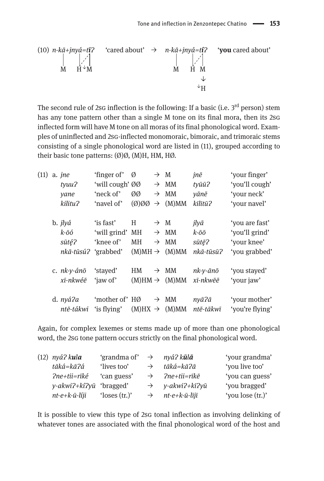(10) *n-kā+jnyá=tīɁ* 'cared about' → *n-kā+jnyá=tíɁ* '**you** cared about' M H ↓M M H M ↓ ↓H

The second rule of 2sG inflection is the following: If a basic (i.e. 3<sup>rd</sup> person) stem has any tone pattern other than a single M tone on its final mora, then its 2sG inflected form will have M tone on all moras of its final phonological word. Examples of uninflected and 2sg-inflected monomoraic, bimoraic, and trimoraic stems consisting of a single phonological word are listed in (11), grouped according to their basic tone patterns: (Ø)Ø, (M)H, HM, HØ.

| (11) | a. jne         | 'finger of'     | Ø                        | $\rightarrow$ M |                  | jnē       | 'your finger'   |
|------|----------------|-----------------|--------------------------|-----------------|------------------|-----------|-----------------|
|      | tyuu?          | 'will cough' ØØ |                          | $\rightarrow$   | <b>MM</b>        | tyūū?     | 'you'll cough'  |
|      | yane           | 'neck of'       | ØØ                       | $\rightarrow$   | <b>MM</b>        | yānē      | 'your neck'     |
|      | kilitu?        | 'navel of'      | $\mathcal{O}(\emptyset)$ | $\rightarrow$   | (M)MM            | kīlītū?   | 'your navel'    |
|      | b. jlyá        | 'is fast'       | H                        | $\rightarrow$ M |                  | jlyā      | 'vou are fast'  |
|      | k-ōó           | 'will grind' MH |                          | $\rightarrow$   | MM               | $k$ -ōō   | 'you'll grind'  |
|      | sūté?          | 'knee of'       | <b>MH</b>                |                 | $\rightarrow$ MM | sūtē?     | 'your knee'     |
|      | nkā-tūsú?      | 'grabbed'       | $(M)MH \rightarrow$      |                 | (M)MM            | nkā-tūsū? | 'you grabbed'   |
|      | c. $nk-v$ -ánō | 'staved'        | HM                       | $\rightarrow$   | MM               | nk-v-ānō  | 'vou stayed'    |
|      | xī-nkwéē       | 'iaw of'        | $(M)HM \rightarrow$      |                 | (M)MM            | xī-nkwēē  | 'vour jaw'      |
|      | d. nyá?a       | 'mother of' HØ  |                          |                 | $\rightarrow$ MM | nyā?ā     | 'your mother'   |
|      | ntē-tákwi      | 'is flying'     | $(M)HX \rightarrow$      |                 | (M)MM            | ntē-tākwī | 'you're flying' |

Again, for complex lexemes or stems made up of more than one phonological word, the 2sg tone pattern occurs strictly on the final phonological word.

| $(12)$ nyá? kula                   | 'grandma of' $\rightarrow$ <i>nyá? kūlā</i> |               |                             | 'your grandma'   |
|------------------------------------|---------------------------------------------|---------------|-----------------------------|------------------|
| tāká=kāʔá                          | 'lives too'                                 | $\rightarrow$ | tāká=kāʔā                   | 'you live too'   |
| ?ne+tii=rīké                       | 'can guess'                                 | $\rightarrow$ | ?ne+tii=rīkē                | 'you can guess'  |
| $y$ -akwi?+ki?yū 'bragged'         |                                             |               | $\rightarrow$ y-akwi?+kī?yū | 'you bragged'    |
| $nt$ - $e$ + $k$ - $\bar{u}$ -líji | 'loses $(tr.)'$                             | $\rightarrow$ | nt-e+k-ū-lījī               | 'you lose (tr.)' |

It is possible to view this type of 2sg tonal inflection as involving delinking of whatever tones are associated with the final phonological word of the host and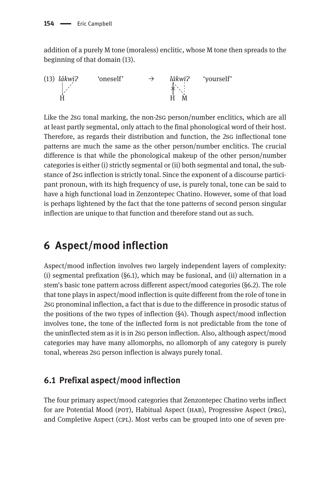addition of a purely M tone (moraless) enclitic, whose M tone then spreads to the beginning of that domain (13).

(13) *lákwiɁ* 'oneself' → *lākwīɁ* 'yourself'  $H \rightarrow H$   $H \rightarrow M$ 

Like the 2sg tonal marking, the non-2sg person/number enclitics, which are all at least partly segmental, only attach to the final phonological word of their host. Therefore, as regards their distribution and function, the 2sg inflectional tone patterns are much the same as the other person/number enclitics. The crucial difference is that while the phonological makeup of the other person/number categories is either (i) strictly segmental or (ii) both segmental and tonal, the substance of 2sg inflection is strictly tonal. Since the exponent of a discourse participant pronoun, with its high frequency of use, is purely tonal, tone can be said to have a high functional load in Zenzontepec Chatino. However, some of that load is perhaps lightened by the fact that the tone patterns of second person singular inflection are unique to that function and therefore stand out as such.

# **6 Aspect/mood inflection**

Aspect/mood inflection involves two largely independent layers of complexity: (i) segmental prefixation (§6.1), which may be fusional, and (ii) alternation in a stem's basic tone pattern across different aspect/mood categories (§6.2). The role that tone plays in aspect/mood inflection is quite different from the role of tone in 2sg pronominal inflection, a fact that is due to the difference in prosodic status of the positions of the two types of inflection (§4). Though aspect/mood inflection involves tone, the tone of the inflected form is not predictable from the tone of the uninflected stem as it is in 2sg person inflection. Also, although aspect/mood categories may have many allomorphs, no allomorph of any category is purely tonal, whereas 2sg person inflection is always purely tonal.

## **6.1 Prefixal aspect/mood inflection**

The four primary aspect/mood categories that Zenzontepec Chatino verbs inflect for are Potential Mood (pot), Habitual Aspect (hab), Progressive Aspect (prg), and Completive Aspect (cpl). Most verbs can be grouped into one of seven pre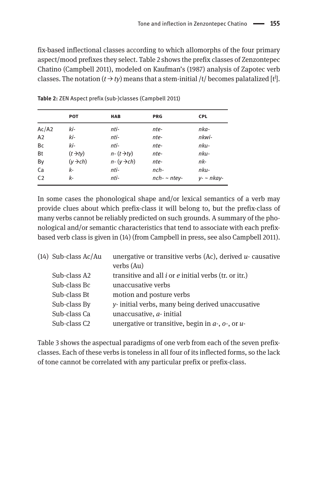fix-based inflectional classes according to which allomorphs of the four primary aspect/mood prefixes they select. Table 2 shows the prefix classes of Zenzontepec Chatino (Campbell 2011), modeled on Kaufman's (1987) analysis of Zapotec verb classes. The notation  $(t \rightarrow ty)$  means that a stem-initial  $/t/$  becomes palatalized [ $t^j$ ].

|                | <b>POT</b>                 | <b>HAB</b>               | <b>PRG</b>    | <b>CPL</b>        |
|----------------|----------------------------|--------------------------|---------------|-------------------|
| Ac/42          | ki-                        | nti-                     | nte-          | nka-              |
| A2             | ki-                        | nti-                     | nte-          | nkwi-             |
| Bc             | ki-                        | nti-                     | nte-          | nku-              |
| Bt             | $(t \rightarrow t \gamma)$ | $n - (t \rightarrow tv)$ | nte-          | nku-              |
| By             | $(y \rightarrow ch)$       | $n - (y \rightarrow ch)$ | nte-          | nk-               |
| Ca             | k-                         | nti-                     | $nch-$        | nku-              |
| C <sub>2</sub> | k-                         | nti-                     | $nch - nte$ . | $v - \sim n$ kav- |

**Table 2:** ZEN Aspect prefix (sub-)classes (Campbell 2011)

In some cases the phonological shape and/or lexical semantics of a verb may provide clues about which prefix-class it will belong to, but the prefix-class of many verbs cannot be reliably predicted on such grounds. A summary of the phonological and/or semantic characteristics that tend to associate with each prefixbased verb class is given in (14) (from Campbell in press, see also Campbell 2011).

| $(14)$ Sub-class Ac/Au   | unergative or transitive verbs (Ac), derived $u$ - causative |
|--------------------------|--------------------------------------------------------------|
|                          | verbs (Au)                                                   |
| Sub-class A2             | transitive and all $i$ or $e$ initial verbs (tr. or itr.)    |
| Sub-class Bc             | unaccusative verbs                                           |
| Sub-class Bt             | motion and posture verbs                                     |
| Sub-class By             | y-initial verbs, many being derived unaccusative             |
| Sub-class Ca             | unaccusative, $a$ - initial                                  |
| Sub-class C <sub>2</sub> | unergative or transitive, begin in $a$ -, $o$ -, or $u$ -    |

Table 3 shows the aspectual paradigms of one verb from each of the seven prefixclasses. Each of these verbs is toneless in all four of its inflected forms, so the lack of tone cannot be correlated with any particular prefix or prefix-class.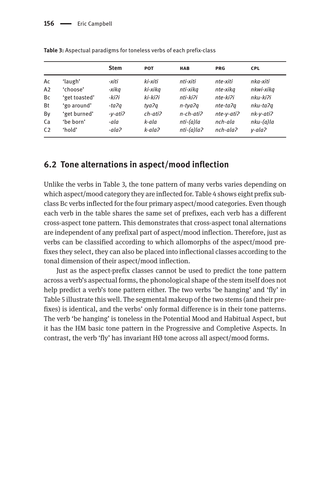|                |               | <b>Stem</b> | <b>POT</b>               | <b>HAB</b>      | <b>PRG</b> | <b>CPL</b>   |
|----------------|---------------|-------------|--------------------------|-----------------|------------|--------------|
| Ac             | 'laugh'       | -xiti       | ki-xiti                  | nti-xiti        | nte-xiti   | nka-xiti     |
| A2             | 'choose'      | -xika       | ki-xika                  | nti-xika        | nte-xika   | nkwi-xika    |
| Bc             | 'get toasted' | -kiʔi       | ki-kiʔi                  | nti-kiʔi        | nte-ki?i   | nku-ki?i     |
| <b>Bt</b>      | 'go around'   | -taʔa       | tva?a                    | n-tya?a         | nte-ta?a   | nku-ta?a     |
| By             | 'get burned'  | -v-ati?     | $ch$ -ati $\overline{c}$ | $n$ -ch-ati $n$ | nte-v-ati? | $nk-v-ati$ ? |
| Ca             | 'be born'     | -ala        | k-ala                    | $nti-(a)$ la    | nch-ala    | nku-(a)la    |
| C <sub>2</sub> | 'hold'        | -ala?       | k-ala?                   | $nti-(a)$ la?   | nch-ala?   | v-ala?       |
|                |               |             |                          |                 |            |              |

**Table 3:** Aspectual paradigms for toneless verbs of each prefix-class

### **6.2 Tone alternations in aspect/mood inflection**

Unlike the verbs in Table 3, the tone pattern of many verbs varies depending on which aspect/mood category they are inflected for. Table 4 shows eight prefix subclass Bc verbs inflected for the four primary aspect/mood categories. Even though each verb in the table shares the same set of prefixes, each verb has a different cross-aspect tone pattern. This demonstrates that cross-aspect tonal alternations are independent of any prefixal part of aspect/mood inflection. Therefore, just as verbs can be classified according to which allomorphs of the aspect/mood prefixes they select, they can also be placed into inflectional classes according to the tonal dimension of their aspect/mood inflection.

Just as the aspect-prefix classes cannot be used to predict the tone pattern across a verb's aspectual forms, the phonological shape of the stem itself does not help predict a verb's tone pattern either. The two verbs 'be hanging' and 'fly' in Table 5 illustrate this well. The segmental makeup of the two stems (and their prefixes) is identical, and the verbs' only formal difference is in their tone patterns. The verb 'be hanging' is toneless in the Potential Mood and Habitual Aspect, but it has the HM basic tone pattern in the Progressive and Completive Aspects. In contrast, the verb 'fly' has invariant HØ tone across all aspect/mood forms.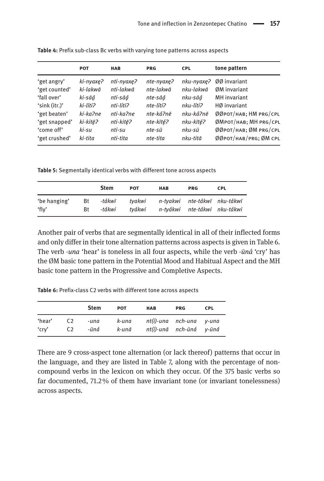|               | <b>POT</b> | <b>HAB</b> | <b>PRG</b> | <b>CPL</b> | tone pattern          |
|---------------|------------|------------|------------|------------|-----------------------|
| 'get angry'   | ki-nyaxe?  | nti-nyaxe? | nte-nyaxe? | nku-nyaxe? | 00 invariant          |
| 'get counted' | ki-lakwā   | nti-lakwā  | nte-lakwā  | nku-lakwā  | ØM invariant          |
| 'fall over'   | ki-sāá     | nti-sāá    | nte-sāá    | nku-sāá    | <b>MH</b> invariant   |
| 'sink (itr.)' | ki-líti?   | nti-líti?  | nte-líti?  | nku-líti?  | HØ invariant          |
| 'get beaten'  | ki-ka?ne   | nti-ka?ne  | nte-ká?nē  | nku-ká?nē  | ØØРОТ/НАВ; HM PRG/CPL |
| 'get snapped' | ki-kitē?   | nti-kitē?  | nte-kīté?  | nku-kīté?  | ØМРОТ/НАВ; MH PRG/CPL |
| 'come off'    | ki-su      | nti-su     | nte-sū     | nku-sū     | ØØРОТ/НАВ; ØM PRG/CPL |
| 'get crushed' | ki-tita    | nti-tita   | nte-tita   | nku-titā   | ØØРОТ/НАВ/PRG; ØM CPL |
|               |            |            |            |            |                       |

**Table 4:** Prefix sub-class Bc verbs with varying tone patterns across aspects

**Table 5:** Segmentally identical verbs with different tone across aspects

|                       |          | <b>Stem</b>      | <b>POT</b>       | <b>HAB</b> | <b>PRG</b>                                                   | <b>CPL</b> |
|-----------------------|----------|------------------|------------------|------------|--------------------------------------------------------------|------------|
| 'be hanging'<br>'fly' | Bt<br>Bt | -tákwī<br>-tákwi | tvakwi<br>tvákwi |            | n-tyakwi nte-tákwī nku-tákwī<br>n-tvákwi nte-tákwi nku-tákwi |            |

Another pair of verbs that are segmentally identical in all of their inflected forms and only differ in their tone alternation patterns across aspects is given in Table 6. The verb *-una* 'hear' is toneless in all four aspects, while the verb *-ūná* 'cry' has the ØM basic tone pattern in the Potential Mood and Habitual Aspect and the MH basic tone pattern in the Progressive and Completive Aspects.

**Table 6: Prefix-class C2 verbs with different tone across aspects** 

|                 |                                  | <b>Stem</b>  | <b>POT</b>     | <b>HAB</b> | <b>PRG</b>                         | <b>CPL</b> |
|-----------------|----------------------------------|--------------|----------------|------------|------------------------------------|------------|
| 'hear'<br>'cry' | C <sub>2</sub><br>C <sub>2</sub> | -una<br>-ūná | k-una<br>k-unā | nt(i)-una  | nch-una<br>nt(i)-unā nch-ūná v-ūná | v-una      |

There are 9 cross-aspect tone alternation (or lack thereof) patterns that occur in the language, and they are listed in Table 7, along with the percentage of noncompound verbs in the lexicon on which they occur. Of the 375 basic verbs so far documented, 71.2 % of them have invariant tone (or invariant tonelessness) across aspects.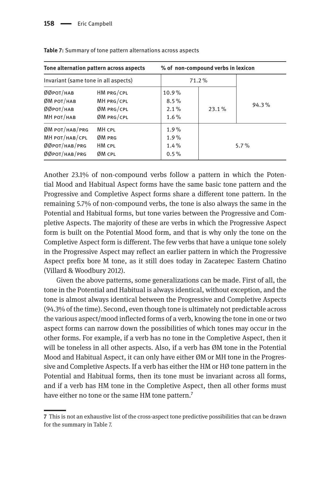|                                                                      | Tone alternation pattern across aspects              | % of non-compound verbs in lexicon  |          |         |  |  |
|----------------------------------------------------------------------|------------------------------------------------------|-------------------------------------|----------|---------|--|--|
| Invariant (same tone in all aspects)                                 |                                                      | 71.2%                               |          |         |  |  |
| ØØрот/нав<br>ØM POT/НАВ<br>ØØрот/нав<br>МН РОТ/НАВ                   | HM PRG/CPL<br>MH PRG/CPL<br>ØM PRG/CPL<br>ØM PRG/CPL | 10.9%<br>8.5%<br>$2.1\%$<br>$1.6\%$ | $23.1\%$ | 94.3%   |  |  |
| $ØM$ POT/HAB/PRG<br>МН РОТ/НАВ/СРЦ<br>ØØPOT/HAB/PRG<br>ØØPOT/HAB/PRG | MH CPL<br>ØM PRG<br>HM CPL<br><b>ØM CPL</b>          | $1.9\%$<br>1.9%<br>$1.4\%$<br>0.5%  |          | $5.7\%$ |  |  |

**Table 7:** Summary of tone pattern alternations across aspects

Another 23.1% of non-compound verbs follow a pattern in which the Potential Mood and Habitual Aspect forms have the same basic tone pattern and the Progressive and Completive Aspect forms share a different tone pattern. In the remaining 5.7% of non-compound verbs, the tone is also always the same in the Potential and Habitual forms, but tone varies between the Progressive and Completive Aspects. The majority of these are verbs in which the Progressive Aspect form is built on the Potential Mood form, and that is why only the tone on the Completive Aspect form is different. The few verbs that have a unique tone solely in the Progressive Aspect may reflect an earlier pattern in which the Progressive Aspect prefix bore M tone, as it still does today in Zacatepec Eastern Chatino (Villard & Woodbury 2012).

Given the above patterns, some generalizations can be made. First of all, the tone in the Potential and Habitual is always identical, without exception, and the tone is almost always identical between the Progressive and Completive Aspects (94.3% of the time). Second, even though tone is ultimately not predictable across the various aspect/mood inflected forms of a verb, knowing the tone in one or two aspect forms can narrow down the possibilities of which tones may occur in the other forms. For example, if a verb has no tone in the Completive Aspect, then it will be toneless in all other aspects. Also, if a verb has ØM tone in the Potential Mood and Habitual Aspect, it can only have either ØM or MH tone in the Progressive and Completive Aspects. If a verb has either the HM or HØ tone pattern in the Potential and Habitual forms, then its tone must be invariant across all forms, and if a verb has HM tone in the Completive Aspect, then all other forms must have either no tone or the same HM tone pattern.<sup>7</sup>

**<sup>7</sup>** This is not an exhaustive list of the cross-aspect tone predictive possibilities that can be drawn for the summary in Table 7.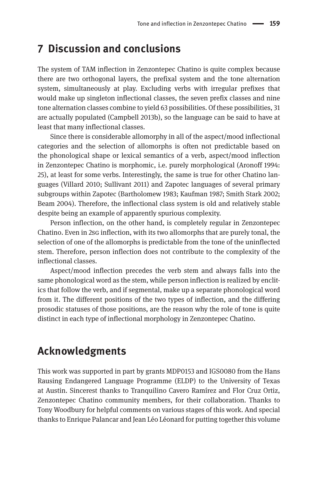# **7 Discussion and conclusions**

The system of TAM inflection in Zenzontepec Chatino is quite complex because there are two orthogonal layers, the prefixal system and the tone alternation system, simultaneously at play. Excluding verbs with irregular prefixes that would make up singleton inflectional classes, the seven prefix classes and nine tone alternation classes combine to yield 63 possibilities. Of these possibilities, 31 are actually populated (Campbell 2013b), so the language can be said to have at least that many inflectional classes.

Since there is considerable allomorphy in all of the aspect/mood inflectional categories and the selection of allomorphs is often not predictable based on the phonological shape or lexical semantics of a verb, aspect/mood inflection in Zenzontepec Chatino is morphomic, i.e. purely morphological (Aronoff 1994: 25), at least for some verbs. Interestingly, the same is true for other Chatino languages (Villard 2010; Sullivant 2011) and Zapotec languages of several primary subgroups within Zapotec (Bartholomew 1983; Kaufman 1987; Smith Stark 2002; Beam 2004). Therefore, the inflectional class system is old and relatively stable despite being an example of apparently spurious complexity.

Person inflection, on the other hand, is completely regular in Zenzontepec Chatino. Even in 2sg inflection, with its two allomorphs that are purely tonal, the selection of one of the allomorphs is predictable from the tone of the uninflected stem. Therefore, person inflection does not contribute to the complexity of the inflectional classes.

Aspect/mood inflection precedes the verb stem and always falls into the same phonological word as the stem, while person inflection is realized by enclitics that follow the verb, and if segmental, make up a separate phonological word from it. The different positions of the two types of inflection, and the differing prosodic statuses of those positions, are the reason why the role of tone is quite distinct in each type of inflectional morphology in Zenzontepec Chatino.

# **Acknowledgments**

This work was supported in part by grants MDP0153 and IGS0080 from the Hans Rausing Endangered Language Programme (ELDP) to the University of Texas at Austin. Sincerest thanks to Tranquilino Cavero Ramírez and Flor Cruz Ortiz, Zenzontepec Chatino community members, for their collaboration. Thanks to Tony Woodbury for helpful comments on various stages of this work. And special thanks to Enrique Palancar and Jean Léo Léonard for putting together this volume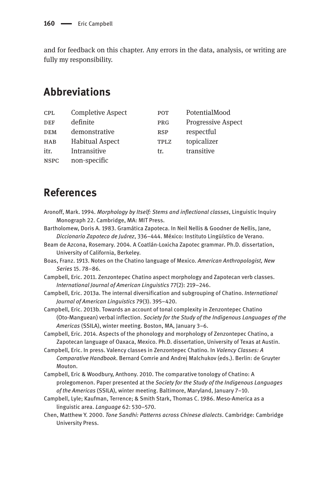and for feedback on this chapter. Any errors in the data, analysis, or writing are fully my responsibility.

# **Abbreviations**

| CPL         | <b>Completive Aspect</b> | POT        | PotentialMood             |
|-------------|--------------------------|------------|---------------------------|
| <b>DEF</b>  | definite                 | PRG        | <b>Progressive Aspect</b> |
| <b>DEM</b>  | demonstrative            | <b>RSP</b> | respectful                |
| <b>HAB</b>  | <b>Habitual Aspect</b>   | TPLZ       | topicalizer               |
| itr.        | Intransitive             | tr.        | transitive                |
| <b>NSPC</b> | non-specific             |            |                           |

# **References**

- Aronoff, Mark. 1994. *Morphology by Itself: Stems and inflectional classes*, Linguistic Inquiry Monograph 22. Cambridge, MA: MIT Press.
- Bartholomew, Doris A. 1983. Gramática Zapoteca. In Neil Nellis & Goodner de Nellis, Jane, *Diccionario Zapoteco de Juárez*, 336–444. México: Instituto Lingüístico de Verano.
- Beam de Azcona, Rosemary. 2004. A Coatlán-Loxicha Zapotec grammar. Ph.D. dissertation, University of California, Berkeley.
- Boas, Franz. 1913. Notes on the Chatino language of Mexico. *American Anthropologist, New Series* 15. 78–86.
- Campbell, Eric. 2011. Zenzontepec Chatino aspect morphology and Zapotecan verb classes. *International Journal of American Linguistics* 77(2): 219–246.
- Campbell, Eric. 2013a. The internal diversification and subgrouping of Chatino. *International Journal of American Linguistics* 79(3). 395–420.
- Campbell, Eric. 2013b. Towards an account of tonal complexity in Zenzontepec Chatino (Oto-Manguean) verbal inflection. *Society for the Study of the Indigenous Languages of the Americas* (SSILA), winter meeting. Boston, MA, January 3–6.
- Campbell, Eric. 2014. Aspects of the phonology and morphology of Zenzontepec Chatino, a Zapotecan language of Oaxaca, Mexico. Ph.D. dissertation, University of Texas at Austin.
- Campbell, Eric. In press. Valency classes in Zenzontepec Chatino. In *Valency Classes: A Comparative Handbook*. Bernard Comrie and Andrej Malchukov (eds.). Berlin: de Gruyter Mouton.
- Campbell, Eric & Woodbury, Anthony. 2010. The comparative tonology of Chatino: A prolegomenon. Paper presented at the *Society for the Study of the Indigenous Languages of the Americas* (SSILA), winter meeting. Baltimore, Maryland, January 7–10.
- Campbell, Lyle; Kaufman, Terrence; & Smith Stark, Thomas C. 1986. Meso-America as a linguistic area. *Language* 62: 530–570.
- Chen, Matthew Y. 2000. *Tone Sandhi: Patterns across Chinese dialects*. Cambridge: Cambridge University Press.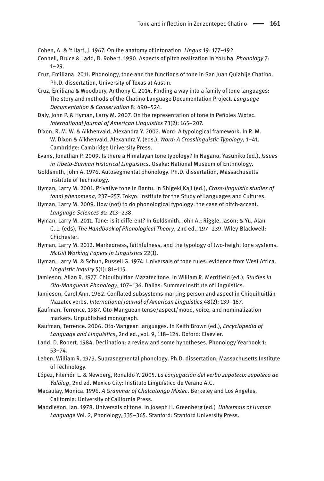Cohen, A. & 't Hart, J. 1967. On the anatomy of intonation. *Lingua* 19: 177–192.

- Connell, Bruce & Ladd, D. Robert. 1990. Aspects of pitch realization in Yoruba. *Phonology* 7: 1–29.
- Cruz, Emiliana. 2011. Phonology, tone and the functions of tone in San Juan Quiahije Chatino. Ph.D. dissertation, University of Texas at Austin.
- Cruz, Emiliana & Woodbury, Anthony C. 2014. Finding a way into a family of tone languages: The story and methods of the Chatino Language Documentation Project. *Language Documentation & Conservation* 8: 490–524.
- Daly, John P. & Hyman, Larry M. 2007. On the representation of tone in Peñoles Mixtec. *International Journal of American Linguistics* 73(2): 165–207.
- Dixon, R. M. W. & Aikhenvald, Alexandra Y. 2002. Word: A typological framework. In R. M. W. Dixon & Aikhenvald, Alexandra Y. (eds.), *Word: A Crosslinguistic Typology*, 1–41. Cambridge: Cambridge University Press.
- Evans, Jonathan P. 2009. Is there a Himalayan tone typology? In Nagano, Yasuhiko (ed.), *Issues in Tibeto-Burman Historical Linguistics*. Osaka: National Museum of Enthnology.
- Goldsmith, John A. 1976. Autosegmental phonology. Ph.D. dissertation, Massachusetts Institute of Technology.
- Hyman, Larry M. 2001. Privative tone in Bantu. In Shigeki Kaji (ed.), *Cross-linguistic studies of tonal phenomena*, 237–257. Tokyo: Institute for the Study of Languages and Cultures.
- Hyman, Larry M. 2009. How (not) to do phonological typology: the case of pitch-accent. *Language Sciences* 31: 213–238.
- Hyman, Larry M. 2011. Tone: is it different? In Goldsmith, John A.; Riggle, Jason; & Yu, Alan C. L. (eds), *The Handbook of Phonological Theory*, 2nd ed., 197–239. Wiley-Blackwell: Chichester.
- Hyman, Larry M. 2012. Markedness, faithfulness, and the typology of two-height tone systems. *McGill Working Papers in Linguistics* 22(1).
- Hyman, Larry M. & Schuh, Russell G. 1974. Universals of tone rules: evidence from West Africa. *Linguistic Inquiry* 5(1): 81–115.
- Jamieson, Allan R. 1977. Chiquihuitlan Mazatec tone. In William R. Merrifield (ed.), *Studies in Oto-Manguean Phonology*, 107–136. Dallas: Summer Institute of Linguistics.
- Jamieson, Carol Ann. 1982. Conflated subsystems marking person and aspect in Chiquihuitlán Mazatec verbs. *International Journal of American Linguistics* 48(2): 139–167.
- Kaufman, Terrence. 1987. Oto-Manguean tense/aspect/mood, voice, and nominalization markers. Unpublished monograph.
- Kaufman, Terrence. 2006. Oto-Mangean languages. In Keith Brown (ed.), *Encyclopedia of Language and Linguistics*, 2nd ed., vol. 9, 118–124. Oxford: Elsevier.
- Ladd, D. Robert. 1984. Declination: a review and some hypotheses. Phonology Yearbook 1: 53–74.
- Leben, William R. 1973. Suprasegmental phonology. Ph.D. dissertation, Massachusetts Institute of Technology.
- López, Filemón L. & Newberg, Ronaldo Y. 2005. *La conjugación del verbo zapoteco: zapoteco de Yalálag*, 2nd ed. Mexico City: Instituto Lingüístico de Verano A.C.
- Macaulay, Monica. 1996. *A Grammar of Chalcatongo Mixtec*. Berkeley and Los Angeles, California: University of California Press.
- Maddieson, Ian. 1978. Universals of tone. In Joseph H. Greenberg (ed.) *Universals of Human Language* Vol. 2, Phonology, 335–365. Stanford: Stanford University Press.